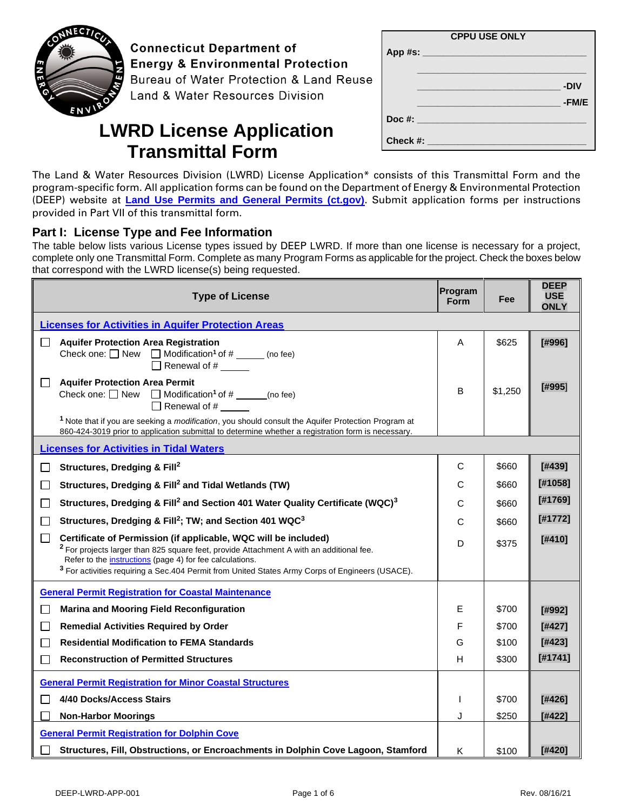

**Connecticut Department of Energy & Environmental Protection** Bureau of Water Protection & Land Reuse Land & Water Resources Division

| <b>CPPU USE ONLY</b>             |       |
|----------------------------------|-------|
| App#s:                           |       |
|                                  |       |
|                                  | -DIV  |
|                                  | -FM/E |
| Doc #: _________________________ |       |
| Check #:                         |       |

# **LWRD License Application Transmittal Form**

The Land & Water Resources Division (LWRD) License Application\* consists of this Transmittal Form and the program-specific form. All application forms can be found on the Department of Energy & Environmental Protection (DEEP) website at **[Land Use Permits and General Permits \(ct.gov\)](https://portal.ct.gov/DEEP/Permits-and-Licenses/Land-Use-Permits-and-General-Permits)**. Submit application forms per instructions provided in Part VII of this transmittal form.

### **Part I: License Type and Fee Information**

The table below lists various License types issued by DEEP LWRD. If more than one license is necessary for a project, complete only one Transmittal Form. Complete as many Program Forms as applicable for the project. Check the boxes below that correspond with the LWRD license(s) being requested.

| <b>Type of License</b>                                                                                                                                                                                                                  | Program<br><b>Form</b> | Fee     | <b>DEEP</b><br><b>USE</b><br><b>ONLY</b> |
|-----------------------------------------------------------------------------------------------------------------------------------------------------------------------------------------------------------------------------------------|------------------------|---------|------------------------------------------|
| <b>Licenses for Activities in Aquifer Protection Areas</b>                                                                                                                                                                              |                        |         |                                          |
| <b>Aquifer Protection Area Registration</b><br>$\perp$<br>Check one: $\Box$ New $\Box$ Modification <sup>1</sup> of # ______ (no fee)<br>$\Box$ Renewal of # ______                                                                     | A                      | \$625   | [#996]                                   |
| <b>Aquifer Protection Area Permit</b><br>$\blacksquare$<br>Check one: $\Box$ New $\Box$ Modification <sup>1</sup> of # _____(no fee)<br>$\Box$ Renewal of #                                                                             | B                      | \$1,250 | [#995]                                   |
| <sup>1</sup> Note that if you are seeking a <i>modification</i> , you should consult the Aquifer Protection Program at<br>860-424-3019 prior to application submittal to determine whether a registration form is necessary.            |                        |         |                                          |
| <b>Licenses for Activities in Tidal Waters</b>                                                                                                                                                                                          |                        |         |                                          |
| Structures, Dredging & Fill <sup>2</sup>                                                                                                                                                                                                | C                      | \$660   | [#439]                                   |
| Structures, Dredging & Fill <sup>2</sup> and Tidal Wetlands (TW)<br>П                                                                                                                                                                   | С                      | \$660   | [#1058]                                  |
| Structures, Dredging & Fill <sup>2</sup> and Section 401 Water Quality Certificate (WQC) <sup>3</sup><br>П                                                                                                                              | C                      | \$660   | [#1769]                                  |
| Structures, Dredging & Fill <sup>2</sup> ; TW; and Section 401 WQC <sup>3</sup><br>П                                                                                                                                                    | C                      | \$660   | [#1772]                                  |
| Certificate of Permission (if applicable, WQC will be included)<br>٦<br><sup>2</sup> For projects larger than 825 square feet, provide Attachment A with an additional fee.<br>Refer to the instructions (page 4) for fee calculations. | D                      | \$375   | [#410]                                   |
| <sup>3</sup> For activities requiring a Sec.404 Permit from United States Army Corps of Engineers (USACE).                                                                                                                              |                        |         |                                          |
| <b>General Permit Registration for Coastal Maintenance</b>                                                                                                                                                                              |                        |         |                                          |
| <b>Marina and Mooring Field Reconfiguration</b>                                                                                                                                                                                         | E                      | \$700   | [#992]                                   |
| <b>Remedial Activities Required by Order</b><br>$\Box$                                                                                                                                                                                  | F                      | \$700   | [#427]                                   |
| <b>Residential Modification to FEMA Standards</b><br>П                                                                                                                                                                                  | G                      | \$100   | [#423]                                   |
| <b>Reconstruction of Permitted Structures</b>                                                                                                                                                                                           | н                      | \$300   | [#1741]                                  |
| <b>General Permit Registration for Minor Coastal Structures</b>                                                                                                                                                                         |                        |         |                                          |
| 4/40 Docks/Access Stairs                                                                                                                                                                                                                |                        | \$700   | [#426]                                   |
| <b>Non-Harbor Moorings</b>                                                                                                                                                                                                              | J                      | \$250   | [#422]                                   |
| <b>General Permit Registration for Dolphin Cove</b>                                                                                                                                                                                     |                        |         |                                          |
| Structures, Fill, Obstructions, or Encroachments in Dolphin Cove Lagoon, Stamford                                                                                                                                                       | Κ                      | \$100   | [#420]                                   |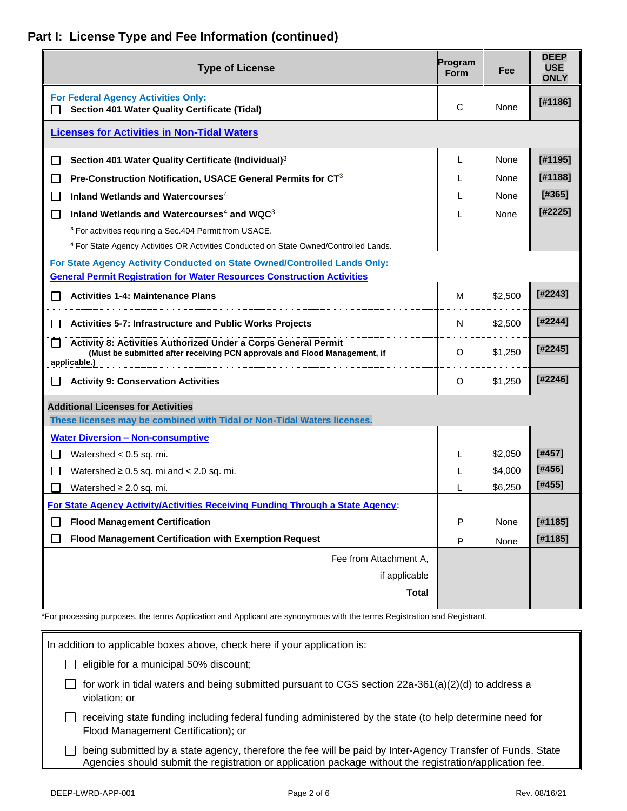### **Part I: License Type and Fee Information (continued)**

| <b>Type of License</b>                                                                                                                                      | Program<br><b>Form</b> | Fee     | <b>DEEP</b><br><b>USE</b><br><b>ONLY</b> |
|-------------------------------------------------------------------------------------------------------------------------------------------------------------|------------------------|---------|------------------------------------------|
| <b>For Federal Agency Activities Only:</b><br>Section 401 Water Quality Certificate (Tidal)                                                                 | C                      | None    | [#1186]                                  |
| <b>Licenses for Activities in Non-Tidal Waters</b>                                                                                                          |                        |         |                                          |
| Section 401 Water Quality Certificate (Individual) <sup>3</sup>                                                                                             | L                      | None    | [#1195]                                  |
| Pre-Construction Notification, USACE General Permits for CT <sup>3</sup><br>$\mathsf{L}$                                                                    |                        | None    | [#1188]                                  |
| Inland Wetlands and Watercourses <sup>4</sup><br>ΙI                                                                                                         |                        | None    | [#365]                                   |
| Inland Wetlands and Watercourses <sup>4</sup> and WQC <sup>3</sup><br>$\Box$                                                                                |                        | None    | [#2225]                                  |
| <sup>3</sup> For activities requiring a Sec. 404 Permit from USACE.                                                                                         |                        |         |                                          |
| <sup>4</sup> For State Agency Activities OR Activities Conducted on State Owned/Controlled Lands.                                                           |                        |         |                                          |
| For State Agency Activity Conducted on State Owned/Controlled Lands Only:                                                                                   |                        |         |                                          |
| <b>General Permit Registration for Water Resources Construction Activities</b>                                                                              |                        |         |                                          |
| <b>Activities 1-4: Maintenance Plans</b><br>ΙI                                                                                                              | М                      | \$2,500 | [#2243]                                  |
| <b>Activities 5-7: Infrastructure and Public Works Projects</b><br>$\Box$                                                                                   | N                      | \$2,500 | [#2244]                                  |
| Activity 8: Activities Authorized Under a Corps General Permit<br>(Must be submitted after receiving PCN approvals and Flood Management, if<br>applicable.) |                        | \$1,250 | [#2245]                                  |
| <b>Activity 9: Conservation Activities</b>                                                                                                                  | O                      | \$1,250 | [#2246]                                  |
| <b>Additional Licenses for Activities</b>                                                                                                                   |                        |         |                                          |
| These licenses may be combined with Tidal or Non-Tidal Waters licenses.                                                                                     |                        |         |                                          |
| <b>Water Diversion - Non-consumptive</b>                                                                                                                    |                        |         |                                          |
| Watershed $< 0.5$ sq. mi.<br>$\mathsf{L}$                                                                                                                   |                        | \$2,050 | [#457]                                   |
| $\mathsf{L}$<br>Watershed $\geq 0.5$ sq. mi and $\lt$ 2.0 sq. mi.                                                                                           | L                      | \$4,000 | [#456]                                   |
| Watershed $\geq 2.0$ sq. mi.                                                                                                                                |                        | \$6,250 | [#455]                                   |
| For State Agency Activity/Activities Receiving Funding Through a State Agency:                                                                              |                        |         |                                          |
| <b>Flood Management Certification</b>                                                                                                                       | P                      | None    | [#1185]                                  |
| Flood Management Certification with Exemption Request                                                                                                       | P                      | None    | [#1185]                                  |
| Fee from Attachment A,                                                                                                                                      |                        |         |                                          |
| if applicable                                                                                                                                               |                        |         |                                          |
| <b>Total</b>                                                                                                                                                |                        |         |                                          |

\*For processing purposes, the terms Application and Applicant are synonymous with the terms Registration and Registrant.

| In addition to applicable boxes above, check here if your application is:                                                                                                                                              |
|------------------------------------------------------------------------------------------------------------------------------------------------------------------------------------------------------------------------|
| eligible for a municipal 50% discount;                                                                                                                                                                                 |
| for work in tidal waters and being submitted pursuant to CGS section 22a-361(a)(2)(d) to address a<br>violation; or                                                                                                    |
| receiving state funding including federal funding administered by the state (to help determine need for<br>Flood Management Certification); or                                                                         |
| being submitted by a state agency, therefore the fee will be paid by Inter-Agency Transfer of Funds. State<br>Agencies should submit the registration or application package without the registration/application fee. |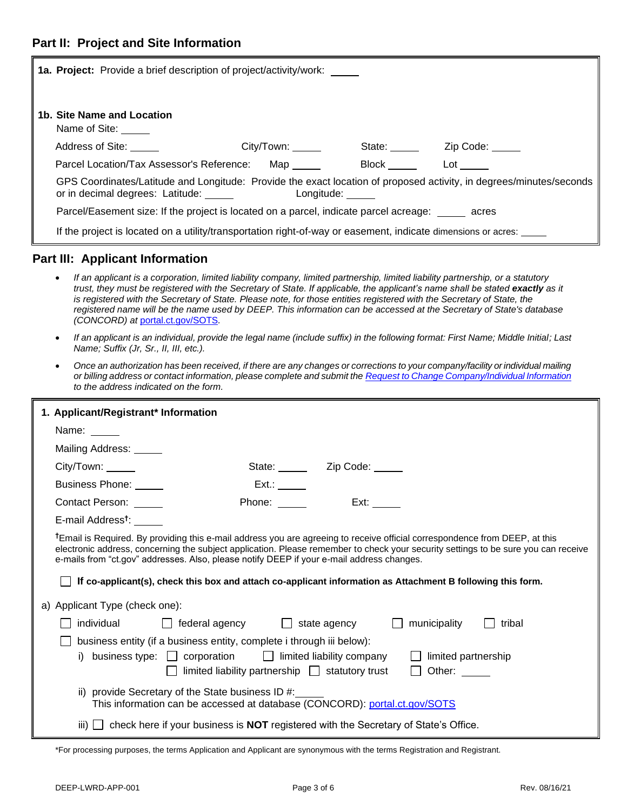| <b>1a. Project:</b> Provide a brief description of project/activity/work:                                                                                                   |             |              |                 |  |  |
|-----------------------------------------------------------------------------------------------------------------------------------------------------------------------------|-------------|--------------|-----------------|--|--|
| 1b. Site Name and Location<br>Name of Site:                                                                                                                                 |             |              |                 |  |  |
| Address of Site:                                                                                                                                                            | City/ Town: | State: _____ | Zip Code: _____ |  |  |
| Parcel Location/Tax Assessor's Reference:                                                                                                                                   | Map         | <b>Block</b> | Lot             |  |  |
| GPS Coordinates/Latitude and Longitude: Provide the exact location of proposed activity, in degrees/minutes/seconds<br>or in decimal degrees: Latitude: _____<br>Longitude: |             |              |                 |  |  |
| Parcel/Easement size: If the project is located on a parcel, indicate parcel acreage: acres                                                                                 |             |              |                 |  |  |
| If the project is located on a utility/transportation right-of-way or easement, indicate dimensions or acres:                                                               |             |              |                 |  |  |

#### **Part III: Applicant Information**

- *If an applicant is a corporation, limited liability company, limited partnership, limited liability partnership, or a statutory trust, they must be registered with the Secretary of State. If applicable, the applicant's name shall be stated exactly as it is registered with the Secretary of State. Please note, for those entities registered with the Secretary of State, the registered name will be the name used by DEEP. This information can be accessed at the Secretary of State's database (CONCORD) at* [portal.ct.gov/SOTS](https://portal.ct.gov/SOTS)*.*
- *If an applicant is an individual, provide the legal name (include suffix) in the following format: First Name; Middle Initial; Last Name; Suffix (Jr, Sr., II, III, etc.).*
- *Once an authorization has been received, if there are any changes or corrections to your company/facility or individual mailing or billing address or contact information, please complete and submit th[e Request to Change Company/Individual Information](https://portal.ct.gov/DEEP/Permits-and-Licenses/Common-Forms#companyinfo) to the address indicated on the form.*

| 1. Applicant/Registrant* Information                                                                                                                                                                                                                                                                                                                                       |                                                                       |                                                                                                   |                     |                   |
|----------------------------------------------------------------------------------------------------------------------------------------------------------------------------------------------------------------------------------------------------------------------------------------------------------------------------------------------------------------------------|-----------------------------------------------------------------------|---------------------------------------------------------------------------------------------------|---------------------|-------------------|
| Name:                                                                                                                                                                                                                                                                                                                                                                      |                                                                       |                                                                                                   |                     |                   |
| Mailing Address: _____                                                                                                                                                                                                                                                                                                                                                     |                                                                       |                                                                                                   |                     |                   |
| City/ Town:                                                                                                                                                                                                                                                                                                                                                                |                                                                       | State: <u>Zip Code:</u>                                                                           |                     |                   |
| Business Phone:                                                                                                                                                                                                                                                                                                                                                            |                                                                       | Ext.:                                                                                             |                     |                   |
| Contact Person:                                                                                                                                                                                                                                                                                                                                                            |                                                                       | Ext:<br>Phone:                                                                                    |                     |                   |
| E-mail Address <sup>t</sup> :                                                                                                                                                                                                                                                                                                                                              |                                                                       |                                                                                                   |                     |                   |
| <sup>t</sup> Email is Required. By providing this e-mail address you are agreeing to receive official correspondence from DEEP, at this<br>electronic address, concerning the subject application. Please remember to check your security settings to be sure you can receive<br>e-mails from "ct.gov" addresses. Also, please notify DEEP if your e-mail address changes. |                                                                       |                                                                                                   |                     |                   |
| If co-applicant(s), check this box and attach co-applicant information as Attachment B following this form.                                                                                                                                                                                                                                                                |                                                                       |                                                                                                   |                     |                   |
| a) Applicant Type (check one):                                                                                                                                                                                                                                                                                                                                             |                                                                       |                                                                                                   |                     |                   |
|                                                                                                                                                                                                                                                                                                                                                                            |                                                                       | $individual$ $\Box$ federal agency $\Box$ state agency $\Box$                                     | municipality        | tribal<br>$\perp$ |
|                                                                                                                                                                                                                                                                                                                                                                            | business entity (if a business entity, complete i through iii below): |                                                                                                   |                     |                   |
|                                                                                                                                                                                                                                                                                                                                                                            |                                                                       | i) business type: $\Box$ corporation $\Box$ limited liability company                             | limited partnership |                   |
|                                                                                                                                                                                                                                                                                                                                                                            |                                                                       | limited liability partnership $\Box$ statutory trust                                              | Other: $\_\_$       |                   |
| ii) provide Secretary of the State business ID $#$ :<br>This information can be accessed at database (CONCORD): portal.ct.gov/SOTS                                                                                                                                                                                                                                         |                                                                       |                                                                                                   |                     |                   |
| iii)                                                                                                                                                                                                                                                                                                                                                                       |                                                                       | $\Box$ check here if your business is <b>NOT</b> registered with the Secretary of State's Office. |                     |                   |

\*For processing purposes, the terms Application and Applicant are synonymous with the terms Registration and Registrant.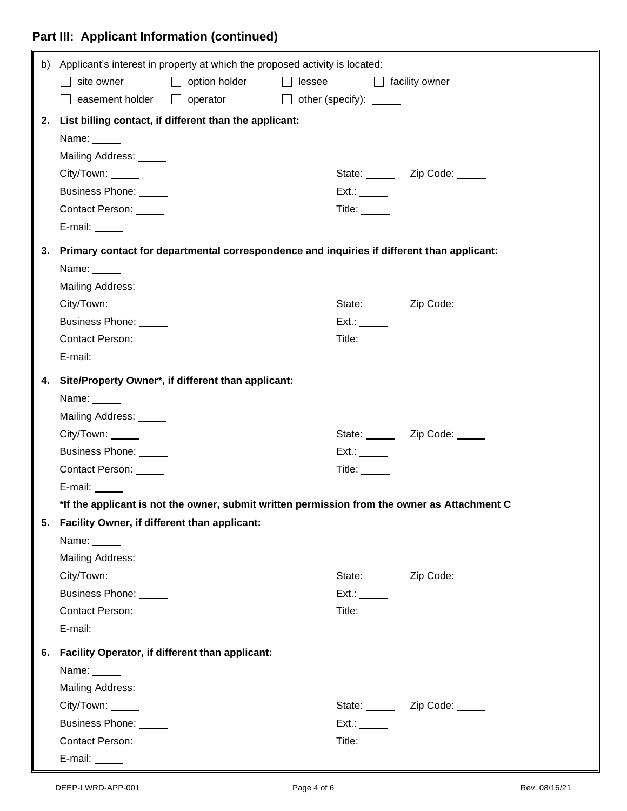## **Part III: Applicant Information (continued)**

|    | b) Applicant's interest in property at which the proposed activity is located:                |                                                    |                                |               |                                                                                              |
|----|-----------------------------------------------------------------------------------------------|----------------------------------------------------|--------------------------------|---------------|----------------------------------------------------------------------------------------------|
|    | $\Box$ site owner                                                                             | □ option holder □ lessee □ facility owner          |                                |               |                                                                                              |
|    |                                                                                               | $\Box$ easement holder $\Box$ operator             | $\Box$ other (specify): $\Box$ |               |                                                                                              |
|    | 2. List billing contact, if different than the applicant:                                     |                                                    |                                |               |                                                                                              |
|    | Name: _____                                                                                   |                                                    |                                |               |                                                                                              |
|    | Mailing Address: _____                                                                        |                                                    |                                |               |                                                                                              |
|    | City/Town: _____                                                                              |                                                    |                                |               | State: _______ Zip Code: _____                                                               |
|    | Business Phone: _____                                                                         |                                                    |                                | Ext.:         |                                                                                              |
|    | Contact Person: _____                                                                         |                                                    |                                | Title: _____  |                                                                                              |
|    | E-mail: $\_\_\_\_\_\_\_\_\_\_\_\$                                                             |                                                    |                                |               |                                                                                              |
|    | 3. Primary contact for departmental correspondence and inquiries if different than applicant: |                                                    |                                |               |                                                                                              |
|    | Name: $\_\_\_\_\_\_\$                                                                         |                                                    |                                |               |                                                                                              |
|    | Mailing Address: _____                                                                        |                                                    |                                |               |                                                                                              |
|    | City/Town: ______                                                                             |                                                    |                                |               | State: _______ Zip Code: _____                                                               |
|    | Business Phone: _____                                                                         |                                                    |                                | Ext.:         |                                                                                              |
|    | Contact Person: _____                                                                         |                                                    |                                | Title: $\_\_$ |                                                                                              |
|    | E-mail: $\_\_\_\_\_\_\_\_\_\$                                                                 |                                                    |                                |               |                                                                                              |
| 4. |                                                                                               | Site/Property Owner*, if different than applicant: |                                |               |                                                                                              |
|    | Name: $\_\_$                                                                                  |                                                    |                                |               |                                                                                              |
|    | Mailing Address: _____                                                                        |                                                    |                                |               |                                                                                              |
|    | City/Town: ______                                                                             |                                                    |                                |               | State: _______ Zip Code: _____                                                               |
|    | Business Phone: _____                                                                         |                                                    |                                | Ext.:         |                                                                                              |
|    | Contact Person: _____                                                                         |                                                    |                                | Title: $\_\_$ |                                                                                              |
|    | E-mail:                                                                                       |                                                    |                                |               |                                                                                              |
|    |                                                                                               |                                                    |                                |               | *If the applicant is not the owner, submit written permission from the owner as Attachment C |
|    | 5. Facility Owner, if different than applicant:                                               |                                                    |                                |               |                                                                                              |
|    | Name: $\_\_\_\_\_\_\_\$                                                                       |                                                    |                                |               |                                                                                              |
|    | Mailing Address: _____                                                                        |                                                    |                                |               |                                                                                              |
|    | City/Town: _____                                                                              |                                                    |                                |               | State: _______ Zip Code: _____                                                               |
|    | Business Phone: _____                                                                         |                                                    |                                | $Ext.$ :      |                                                                                              |
|    | Contact Person: _____                                                                         |                                                    |                                | Title: $\_\_$ |                                                                                              |
|    | E-mail: $\_\_\_\_\_\_\_\$                                                                     |                                                    |                                |               |                                                                                              |
|    | 6. Facility Operator, if different than applicant:                                            |                                                    |                                |               |                                                                                              |
|    | Name: $\_\_$                                                                                  |                                                    |                                |               |                                                                                              |
|    | Mailing Address: _____                                                                        |                                                    |                                |               |                                                                                              |
|    | City/Town: _____                                                                              |                                                    |                                |               | State: _______ Zip Code: _____                                                               |
|    | Business Phone: _____                                                                         |                                                    |                                | Ext.:         |                                                                                              |
|    | Contact Person: ______                                                                        |                                                    |                                | Title: $\_\_$ |                                                                                              |
|    | E-mail: ______                                                                                |                                                    |                                |               |                                                                                              |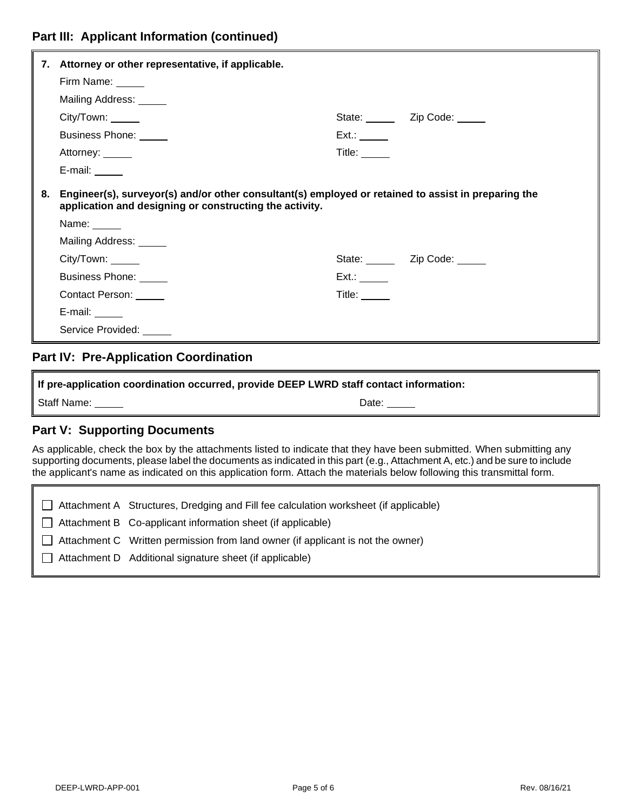|    | 7. Attorney or other representative, if applicable.                                                                                                            |                                                                                                                                                                                                                                |                                |  |
|----|----------------------------------------------------------------------------------------------------------------------------------------------------------------|--------------------------------------------------------------------------------------------------------------------------------------------------------------------------------------------------------------------------------|--------------------------------|--|
|    | Firm Name: _____                                                                                                                                               |                                                                                                                                                                                                                                |                                |  |
|    | Mailing Address: _____                                                                                                                                         |                                                                                                                                                                                                                                |                                |  |
|    | City/Town: ______                                                                                                                                              |                                                                                                                                                                                                                                | State: _______ Zip Code: _____ |  |
|    | Business Phone: ______                                                                                                                                         | Ext.:                                                                                                                                                                                                                          |                                |  |
|    | Attorney: ______                                                                                                                                               | Title: $\_\_$                                                                                                                                                                                                                  |                                |  |
|    | E-mail: $\_\_\_\_\_\_\_\_\_\$                                                                                                                                  |                                                                                                                                                                                                                                |                                |  |
| 8. | Engineer(s), surveyor(s) and/or other consultant(s) employed or retained to assist in preparing the<br>application and designing or constructing the activity. |                                                                                                                                                                                                                                |                                |  |
|    | Name: _____                                                                                                                                                    |                                                                                                                                                                                                                                |                                |  |
|    | Mailing Address: _____                                                                                                                                         |                                                                                                                                                                                                                                |                                |  |
|    | City/Town: _____                                                                                                                                               |                                                                                                                                                                                                                                | State: _______ Zip Code: _____ |  |
|    | Business Phone: _____                                                                                                                                          | Ext.:                                                                                                                                                                                                                          |                                |  |
|    | Contact Person: ______                                                                                                                                         | Title: The Second Second Second Second Second Second Second Second Second Second Second Second Second Second Second Second Second Second Second Second Second Second Second Second Second Second Second Second Second Second S |                                |  |
|    | E-mail: $\_\_\_\_\_\_\_\_\_\$                                                                                                                                  |                                                                                                                                                                                                                                |                                |  |
|    | Service Provided:                                                                                                                                              |                                                                                                                                                                                                                                |                                |  |
|    |                                                                                                                                                                |                                                                                                                                                                                                                                |                                |  |

#### **Part IV: Pre-Application Coordination**

**If pre-application coordination occurred, provide DEEP LWRD staff contact information:** Staff Name: <u>Date:</u> Name: Date: Date: Date: Date: Date: Date: Date: Date: Date: Date: Date: Date: Date: Date: Date: Date: Date: Date: Date: Date: Date: Date: Date: Date: Date: Date: Date: Date: Date: Date: Date: Date: Date

#### **Part V: Supporting Documents**

As applicable, check the box by the attachments listed to indicate that they have been submitted. When submitting any supporting documents, please label the documents as indicated in this part (e.g., Attachment A, etc.) and be sure to include the applicant's name as indicated on this application form. Attach the materials below following this transmittal form.

 Attachment A Structures, Dredging and Fill fee calculation worksheet (if applicable)  $\Box$  Attachment B Co-applicant information sheet (if applicable)  $\Box$  Attachment C Written permission from land owner (if applicant is not the owner)  $\Box$  Attachment D Additional signature sheet (if applicable)